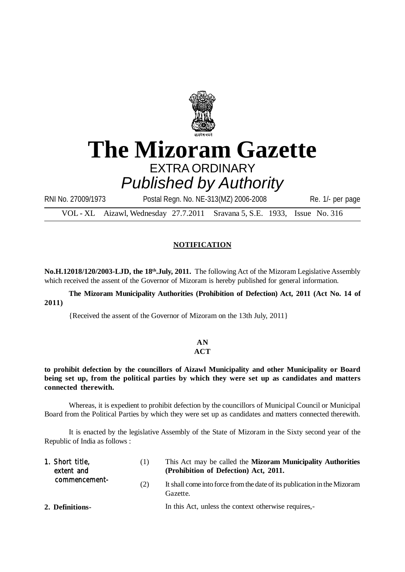

# **The Mizoram Gazette** EXTRA ORDINARY *Published by Authority*

RNI No. 27009/1973 Postal Regn. No. NE-313(MZ) 2006-2008 Re. 1/- per page

VOL - XL Aizawl, Wednesday 27.7.2011 Sravana 5, S.E. 1933, Issue No. 316

### **NOTIFICATION**

**No.H.12018/120/2003-LJD, the 18th.July, 2011.** The following Act of the Mizoram Legislative Assembly which received the assent of the Governor of Mizoram is hereby published for general information.

**The Mizoram Municipality Authorities (Prohibition of Defection) Act, 2011 (Act No. 14 of 2011)**

{Received the assent of the Governor of Mizoram on the 13th July, 2011}

## **AN**

#### **ACT**

#### **to prohibit defection by the councillors of Aizawl Municipality and other Municipality or Board being set up, from the political parties by which they were set up as candidates and matters connected therewith.**

Whereas, it is expedient to prohibit defection by the councillors of Municipal Council or Municipal Board from the Political Parties by which they were set up as candidates and matters connected therewith.

It is enacted by the legislative Assembly of the State of Mizoram in the Sixty second year of the Republic of India as follows :

| 1. Short title,<br>extent and | (1) | This Act may be called the <b>Mizoram Municipality Authorities</b><br>(Prohibition of Defection) Act, 2011. |
|-------------------------------|-----|-------------------------------------------------------------------------------------------------------------|
| commencement-                 | (2) | It shall come into force from the date of its publication in the Mizoram<br>Gazette.                        |
| 2. Definitions-               |     | In this Act, unless the context otherwise requires,-                                                        |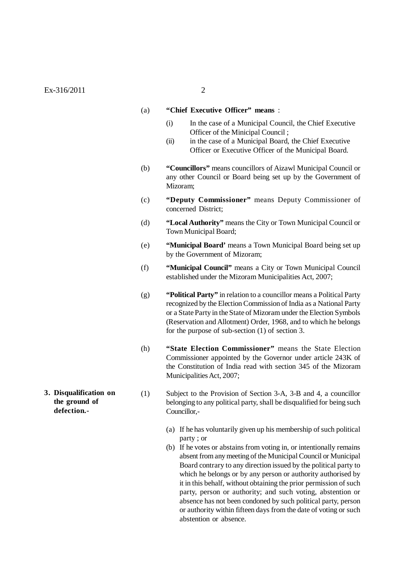#### (a) **"Chief Executive Officer" means** :

- (i) In the case of a Municipal Council, the Chief Executive Officer of the Minicipal Council ;
- (ii) in the case of a Municipal Board, the Chief Executive Officer or Executive Officer of the Municipal Board.
- (b) **"Councillors"** means councillors of Aizawl Municipal Council or any other Council or Board being set up by the Government of Mizoram;
- (c) **"Deputy Commissioner"** means Deputy Commissioner of concerned District;
- (d) **"Local Authority"** means the City or Town Municipal Council or Town Municipal Board;
- (e) **"Municipal Board'** means a Town Municipal Board being set up by the Government of Mizoram;
- (f) **"Municipal Council"** means a City or Town Municipal Council established under the Mizoram Municipalities Act, 2007;
- (g) **"Political Party"** in relation to a councillor means a Political Party recognized by the Election Commission of India as a National Party or a State Party in the State of Mizoram under the Election Symbols (Reservation and Allotment) Order, 1968, and to which he belongs for the purpose of sub-section (1) of section 3.
- (h) **"State Election Commissioner"** means the State Election Commissioner appointed by the Governor under article 243K of the Constitution of India read with section 345 of the Mizoram Municipalities Act, 2007;
- (1) Subject to the Provision of Section 3-A, 3-B and 4, a councillor belonging to any political party, shall be disqualified for being such Councillor,-
	- (a) If he has voluntarily given up his membership of such political party ; or
	- (b) If he votes or abstains from voting in, or intentionally remains absent from any meeting of the Municipal Council or Municipal Board contrary to any direction issued by the political party to which he belongs or by any person or authority authorised by it in this behalf, without obtaining the prior permission of such party, person or authority; and such voting, abstention or absence has not been condoned by such political party, person or authority within fifteen days from the date of voting or such abstention or absence.
- **3. Disqualification on the ground of defection.-**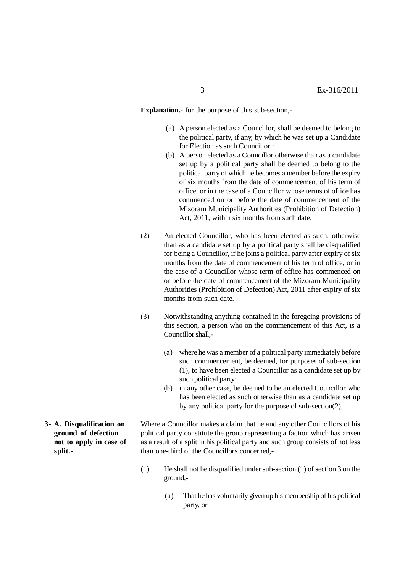**Explanation.**- for the purpose of this sub-section,-

- (a) A person elected as a Councillor, shall be deemed to belong to the political party, if any, by which he was set up a Candidate for Election as such Councillor :
- (b) A person elected as a Councillor otherwise than as a candidate set up by a political party shall be deemed to belong to the political party of which he becomes a member before the expiry of six months from the date of commencement of his term of office, or in the case of a Councillor whose terms of office has commenced on or before the date of commencement of the Mizoram Municipality Authorities (Prohibition of Defection) Act, 2011, within six months from such date.
- (2) An elected Councillor, who has been elected as such, otherwise than as a candidate set up by a political party shall be disqualified for being a Councillor, if he joins a political party after expiry of six months from the date of commencement of his term of office, or in the case of a Councillor whose term of office has commenced on or before the date of commencement of the Mizoram Municipality Authorities (Prohibition of Defection) Act, 2011 after expiry of six months from such date.
- (3) Notwithstanding anything contained in the foregoing provisions of this section, a person who on the commencement of this Act, is a Councillor shall -
	- (a) where he was a member of a political party immediately before such commencement, be deemed, for purposes of sub-section (1), to have been elected a Councillor as a candidate set up by such political party;
	- (b) in any other case, be deemed to be an elected Councillor who has been elected as such otherwise than as a candidate set up by any political party for the purpose of sub-section(2).
- Where a Councillor makes a claim that he and any other Councillors of his political party constitute the group representing a faction which has arisen as a result of a split in his political party and such group consists of not less than one-third of the Councillors concerned,-
	- (1) He shall not be disqualified under sub-section (1) of section 3 on the ground,-
		- (a) That he has voluntarily given up his membership of his political party, or
- **3- A. Disqualification on ground of defection not to apply in case of split.-**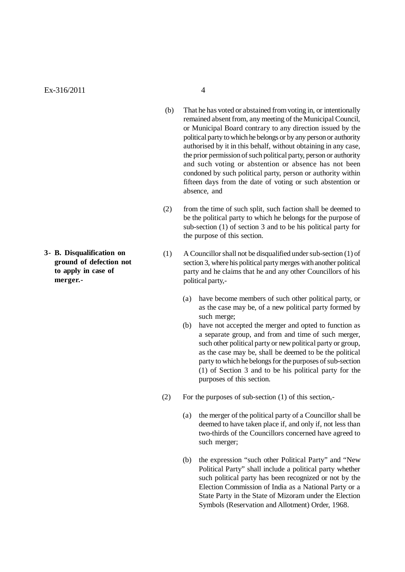**3- B. Disqualification on ground of defection not to apply in case of merger.-**

- (b) That he has voted or abstained from voting in, or intentionally remained absent from, any meeting of the Municipal Council, or Municipal Board contrary to any direction issued by the political party to which he belongs or by any person or authority authorised by it in this behalf, without obtaining in any case, the prior permission of such political party, person or authority and such voting or abstention or absence has not been condoned by such political party, person or authority within fifteen days from the date of voting or such abstention or absence, and
- (2) from the time of such split, such faction shall be deemed to be the political party to which he belongs for the purpose of sub-section (1) of section 3 and to be his political party for the purpose of this section.
- (1) A Councillor shall not be disqualified under sub-section (1) of section 3, where his political party merges with another political party and he claims that he and any other Councillors of his political party,-
	- (a) have become members of such other political party, or as the case may be, of a new political party formed by such merge;
	- (b) have not accepted the merger and opted to function as a separate group, and from and time of such merger, such other political party or new political party or group, as the case may be, shall be deemed to be the political party to which he belongs for the purposes of sub-section (1) of Section 3 and to be his political party for the purposes of this section.
- (2) For the purposes of sub-section (1) of this section,-
	- (a) the merger of the political party of a Councillor shall be deemed to have taken place if, and only if, not less than two-thirds of the Councillors concerned have agreed to such merger;
	- (b) the expression "such other Political Party" and "New Political Party" shall include a political party whether such political party has been recognized or not by the Election Commission of India as a National Party or a State Party in the State of Mizoram under the Election Symbols (Reservation and Allotment) Order, 1968.